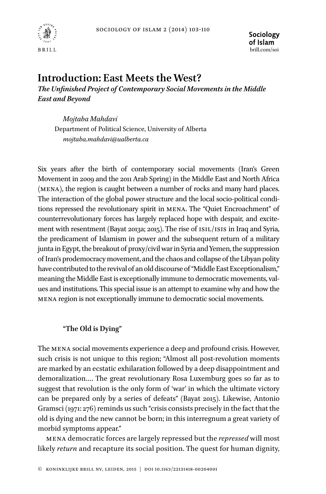

# **Introduction: East Meets the West?** *The Unfinished Project of Contemporary Social Movements in the Middle East and Beyond*

*Mojtaba Mahdavi* Department of Political Science, University of Alberta *mojtaba.mahdavi@ualberta.ca*

Six years after the birth of contemporary social movements (Iran's Green Movement in 2009 and the 2011 Arab Spring) in the Middle East and North Africa (mena), the region is caught between a number of rocks and many hard places. The interaction of the global power structure and the local socio-political conditions repressed the revolutionary spirit in mena. The "Quiet Encroachment" of counterrevolutionary forces has largely replaced hope with despair, and excitement with resentment (Bayat 2013a; 2015). The rise of ISIL/ISIS in Iraq and Syria, the predicament of Islamism in power and the subsequent return of a military junta in Egypt, the breakout of proxy/civil war in Syria and Yemen, the suppression of Iran's prodemocracy movement, and the chaos and collapse of the Libyan polity have contributed to the revival of an old discourse of "Middle East Exceptionalism," meaning the Middle East is exceptionally immune to democratic movements, values and institutions. This special issue is an attempt to examine why and how the mena region is not exceptionally immune to democratic social movements.

## **"The Old is Dying"**

The mena social movements experience a deep and profound crisis. However, such crisis is not unique to this region; "Almost all post-revolution moments are marked by an ecstatic exhilaration followed by a deep disappointment and demoralization…. The great revolutionary Rosa Luxemburg goes so far as to suggest that revolution is the only form of 'war' in which the ultimate victory can be prepared only by a series of defeats" (Bayat 2015). Likewise, Antonio Gramsci (1971: 276) reminds us such "crisis consists precisely in the fact that the old is dying and the new cannot be born; in this interregnum a great variety of morbid symptoms appear."

mena democratic forces are largely repressed but the *repressed* will most likely *return* and recapture its social position. The quest for human dignity,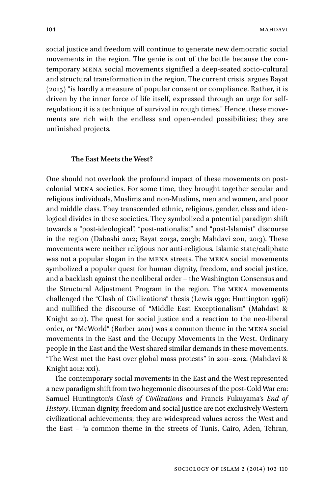social justice and freedom will continue to generate new democratic social movements in the region. The genie is out of the bottle because the contemporary mena social movements signified a deep-seated socio-cultural and structural transformation in the region. The current crisis, argues Bayat (2015) "is hardly a measure of popular consent or compliance. Rather, it is driven by the inner force of life itself, expressed through an urge for selfregulation; it is a technique of survival in rough times." Hence, these movements are rich with the endless and open-ended possibilities; they are unfinished projects.

#### **The East Meets the West?**

One should not overlook the profound impact of these movements on postcolonial mena societies. For some time, they brought together secular and religious individuals, Muslims and non-Muslims, men and women, and poor and middle class. They transcended ethnic, religious, gender, class and ideological divides in these societies. They symbolized a potential paradigm shift towards a "post-ideological", "post-nationalist" and "post-Islamist" discourse in the region (Dabashi 2012; Bayat 2013a, 2013b; Mahdavi 2011, 2013). These movements were neither religious nor anti-religious. Islamic state/caliphate was not a popular slogan in the mena streets. The mena social movements symbolized a popular quest for human dignity, freedom, and social justice, and a backlash against the neoliberal order – the Washington Consensus and the Structural Adjustment Program in the region. The mena movements challenged the "Clash of Civilizations" thesis (Lewis 1990; Huntington 1996) and nullified the discourse of "Middle East Exceptionalism" (Mahdavi & Knight 2012). The quest for social justice and a reaction to the neo-liberal order, or "McWorld" (Barber 2001) was a common theme in the mena social movements in the East and the Occupy Movements in the West. Ordinary people in the East and the West shared similar demands in these movements. "The West met the East over global mass protests" in 2011–2012. (Mahdavi & Knight 2012: xxi).

The contemporary social movements in the East and the West represented a new paradigm shift from two hegemonic discourses of the post-Cold War era: Samuel Huntington's *Clash of Civilizations* and Francis Fukuyama's *End of History*. Human dignity, freedom and social justice are not exclusively Western civilizational achievements; they are widespread values across the West and the East – "a common theme in the streets of Tunis, Cairo, Aden, Tehran,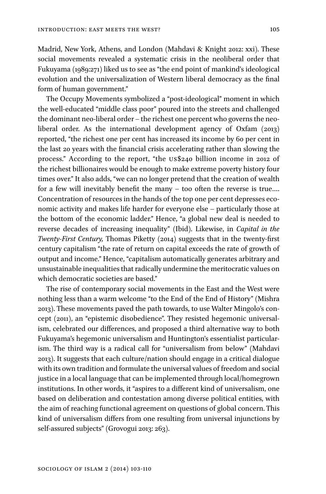Madrid, New York, Athens, and London (Mahdavi & Knight 2012: xxi). These social movements revealed a systematic crisis in the neoliberal order that Fukuyama (1989:271) liked us to see as "the end point of mankind's ideological evolution and the universalization of Western liberal democracy as the final form of human government."

The Occupy Movements symbolized a "post-ideological" moment in which the well-educated "middle class poor" poured into the streets and challenged the dominant neo-liberal order – the richest one percent who governs the neoliberal order. As the international development agency of Oxfam (2013) reported, "the richest one per cent has increased its income by 60 per cent in the last 20 years with the financial crisis accelerating rather than slowing the process." According to the report, "the us\$240 billion income in 2012 of the richest billionaires would be enough to make extreme poverty history four times over." It also adds, "we can no longer pretend that the creation of wealth for a few will inevitably benefit the many – too often the reverse is true…. Concentration of resources in the hands of the top one per cent depresses economic activity and makes life harder for everyone else – particularly those at the bottom of the economic ladder." Hence, "a global new deal is needed to reverse decades of increasing inequality" (Ibid). Likewise, in *Capital in the Twenty-First Century,* Thomas Piketty (2014) suggests that in the twenty-first century capitalism "the rate of return on capital exceeds the rate of growth of output and income." Hence, "capitalism automatically generates arbitrary and unsustainable inequalities that radically undermine the meritocratic values on which democratic societies are based."

The rise of contemporary social movements in the East and the West were nothing less than a warm welcome "to the End of the End of History" (Mishra 2013). These movements paved the path towards, to use Walter Mingolo's concept (2011), an "epistemic disobedience". They resisted hegemonic universalism, celebrated our differences, and proposed a third alternative way to both Fukuyama's hegemonic universalism and Huntington's essentialist particularism. The third way is a radical call for "universalism from below" (Mahdavi 2013). It suggests that each culture/nation should engage in a critical dialogue with its own tradition and formulate the universal values of freedom and social justice in a local language that can be implemented through local/homegrown institutions. In other words, it "aspires to a different kind of universalism, one based on deliberation and contestation among diverse political entities, with the aim of reaching functional agreement on questions of global concern. This kind of universalism differs from one resulting from universal injunctions by self-assured subjects" (Grovogui 2013: 263).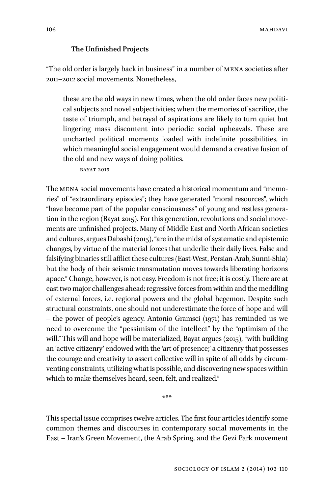106 MAHDAVI

### **The Unfinished Projects**

"The old order is largely back in business" in a number of mena societies after 2011–2012 social movements. Nonetheless,

these are the old ways in new times, when the old order faces new political subjects and novel subjectivities; when the memories of sacrifice, the taste of triumph, and betrayal of aspirations are likely to turn quiet but lingering mass discontent into periodic social upheavals. These are uncharted political moments loaded with indefinite possibilities, in which meaningful social engagement would demand a creative fusion of the old and new ways of doing politics.

**BAYAT 2015** 

The mena social movements have created a historical momentum and "memories" of "extraordinary episodes"; they have generated "moral resources", which "have become part of the popular consciousness" of young and restless generation in the region (Bayat 2015). For this generation, revolutions and social movements are unfinished projects. Many of Middle East and North African societies and cultures, argues Dabashi (2015), "are in the midst of systematic and epistemic changes, by virtue of the material forces that underlie their daily lives. False and falsifying binaries still afflict these cultures (East-West, Persian-Arab, Sunni-Shia) but the body of their seismic transmutation moves towards liberating horizons apace." Change, however, is not easy. Freedom is not free; it is costly. There are at east two major challenges ahead: regressive forces from within and the meddling of external forces, i.e. regional powers and the global hegemon. Despite such structural constraints, one should not underestimate the force of hope and will – the power of people's agency. Antonio Gramsci (1971) has reminded us we need to overcome the "pessimism of the intellect" by the "optimism of the will." This will and hope will be materialized, Bayat argues (2015), "with building an 'active citizenry' endowed with the 'art of presence;' a citizenry that possesses the courage and creativity to assert collective will in spite of all odds by circumventing constraints, utilizing what is possible, and discovering new spaces within which to make themselves heard, seen, felt, and realized."

This special issue comprises twelve articles. The first four articles identify some common themes and discourses in contemporary social movements in the East – Iran's Green Movement, the Arab Spring, and the Gezi Park movement

\*\*\*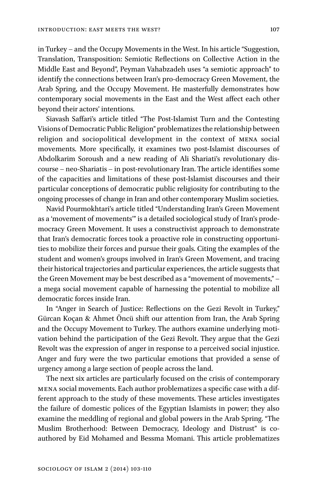in Turkey – and the Occupy Movements in the West. In his article "Suggestion, Translation, Transposition: Semiotic Reflections on Collective Action in the Middle East and Beyond", Peyman Vahabzadeh uses "a semiotic approach" to identify the connections between Iran's pro-democracy Green Movement, the Arab Spring, and the Occupy Movement. He masterfully demonstrates how contemporary social movements in the East and the West affect each other beyond their actors' intentions.

Siavash Saffari's article titled "The Post-Islamist Turn and the Contesting Visions of Democratic Public Religion" problematizes the relationship between religion and sociopolitical development in the context of mena social movements. More specifically, it examines two post-Islamist discourses of Abdolkarim Soroush and a new reading of Ali Shariati's revolutionary discourse – neo-Shariatis – in post-revolutionary Iran. The article identifies some of the capacities and limitations of these post-Islamist discourses and their particular conceptions of democratic public religiosity for contributing to the ongoing processes of change in Iran and other contemporary Muslim societies.

Navid Pourmokhtari's article titled "Understanding Iran's Green Movement as a 'movement of movements'" is a detailed sociological study of Iran's prodemocracy Green Movement. It uses a constructivist approach to demonstrate that Iran's democratic forces took a proactive role in constructing opportunities to mobilize their forces and pursue their goals. Citing the examples of the student and women's groups involved in Iran's Green Movement, and tracing their historical trajectories and particular experiences, the article suggests that the Green Movement may be best described as a "movement of movements," – a mega social movement capable of harnessing the potential to mobilize all democratic forces inside Iran.

In "Anger in Search of Justice: Reflections on the Gezi Revolt in Turkey," Gürcan Koçan & Ahmet Öncü shift our attention from Iran, the Arab Spring and the Occupy Movement to Turkey. The authors examine underlying motivation behind the participation of the Gezi Revolt. They argue that the Gezi Revolt was the expression of anger in response to a perceived social injustice. Anger and fury were the two particular emotions that provided a sense of urgency among a large section of people across the land.

The next six articles are particularly focused on the crisis of contemporary mena social movements. Each author problematizes a specific case with a different approach to the study of these movements. These articles investigates the failure of domestic polices of the Egyptian Islamists in power; they also examine the meddling of regional and global powers in the Arab Spring. "The Muslim Brotherhood: Between Democracy, Ideology and Distrust" is coauthored by Eid Mohamed and Bessma Momani. This article problematizes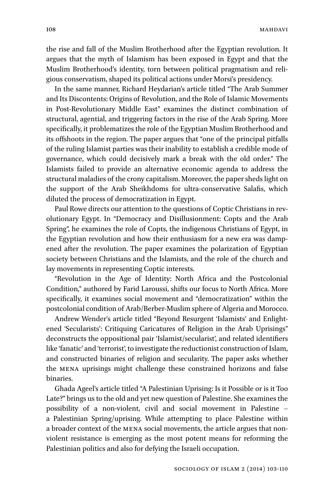the rise and fall of the Muslim Brotherhood after the Egyptian revolution. It argues that the myth of Islamism has been exposed in Egypt and that the Muslim Brotherhood's identity, torn between political pragmatism and religious conservatism, shaped its political actions under Morsi's presidency.

In the same manner, Richard Heydarian's article titled "The Arab Summer and Its Discontents: Origins of Revolution, and the Role of Islamic Movements in Post-Revolutionary Middle East" examines the distinct combination of structural, agential, and triggering factors in the rise of the Arab Spring. More specifically, it problematizes the role of the Egyptian Muslim Brotherhood and its offshoots in the region. The paper argues that "one of the principal pitfalls of the ruling Islamist parties was their inability to establish a credible mode of governance, which could decisively mark a break with the old order." The Islamists failed to provide an alternative economic agenda to address the structural maladies of the crony capitalism. Moreover, the paper sheds light on the support of the Arab Sheikhdoms for ultra-conservative Salafis, which diluted the process of democratization in Egypt.

Paul Rowe directs our attention to the questions of Coptic Christians in revolutionary Egypt. In "Democracy and Disillusionment: Copts and the Arab Spring", he examines the role of Copts, the indigenous Christians of Egypt, in the Egyptian revolution and how their enthusiasm for a new era was dampened after the revolution. The paper examines the polarization of Egyptian society between Christians and the Islamists, and the role of the church and lay movements in representing Coptic interests.

"Revolution in the Age of Identity: North Africa and the Postcolonial Condition," authored by Farid Laroussi, shifts our focus to North Africa. More specifically, it examines social movement and "democratization" within the postcolonial condition of Arab/Berber-Muslim sphere of Algeria and Morocco.

Andrew Wender's article titled "Beyond Resurgent 'Islamists' and Enlightened 'Secularists': Critiquing Caricatures of Religion in the Arab Uprisings" deconstructs the oppositional pair 'Islamist/secularist', and related identifiers like 'fanatic' and 'terrorist', to investigate the reductionist construction of Islam, and constructed binaries of religion and secularity. The paper asks whether the mena uprisings might challenge these constrained horizons and false binaries.

Ghada Ageel's article titled "A Palestinian Uprising: Is it Possible or is it Too Late?" brings us to the old and yet new question of Palestine. She examines the possibility of a non-violent, civil and social movement in Palestine – a Palestinian Spring/uprising. While attempting to place Palestine within a broader context of the mena social movements, the article argues that nonviolent resistance is emerging as the most potent means for reforming the Palestinian politics and also for defying the Israeli occupation.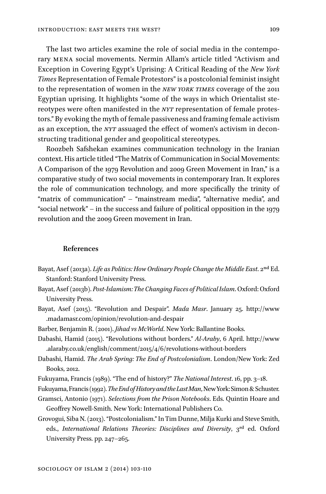The last two articles examine the role of social media in the contemporary mena social movements. Nermin Allam's article titled "Activism and Exception in Covering Egypt's Uprising: A Critical Reading of the *New York Times* Representation of Female Protestors" is a postcolonial feminist insight to the representation of women in the *new york times* coverage of the 2011 Egyptian uprising. It highlights "some of the ways in which Orientalist stereotypes were often manifested in the *nyt* representation of female protestors." By evoking the myth of female passiveness and framing female activism as an exception, the *nyt* assuaged the effect of women's activism in deconstructing traditional gender and geopolitical stereotypes.

Roozbeh Safshekan examines communication technology in the Iranian context. His article titled "The Matrix of Communication in Social Movements: A Comparison of the 1979 Revolution and 2009 Green Movement in Iran," is a comparative study of two social movements in contemporary Iran. It explores the role of communication technology, and more specifically the trinity of "matrix of communication" – "mainstream media", "alternative media", and "social network" – in the success and failure of political opposition in the 1979 revolution and the 2009 Green movement in Iran.

#### **References**

- Bayat, Asef (2013a). *Life as Politics: How Ordinary People Change the Middle East*. 2nd Ed. Stanford: Stanford University Press.
- Bayat, Asef (2013b). *Post-Islamism: The Changing Faces of Political Islam*. Oxford: Oxford University Press.
- Bayat, Asef (2015). "Revolution and Despair". *Mada Masr*. January 25. [http://www](http://www.madamasr.com/opinion/revolution-and-despair) [.madamasr.com/opinion/revolution-and-despair](http://www.madamasr.com/opinion/revolution-and-despair)
- Barber, Benjamin R. (2001). *Jihad vs McWorld*. New York: Ballantine Books.
- Dabashi, Hamid (2015). "Revolutions without borders." *Al-Araby*, 6 April. [http://www](http://www.alaraby.co.uk/english/comment/2015/4/6/revolutions-without-borders) [.alaraby.co.uk/english/comment/2015/4/6/revolutions-without-borders](http://www.alaraby.co.uk/english/comment/2015/4/6/revolutions-without-borders)
- Dabashi, Hamid. *The Arab Spring: The End of Postcolonialism*. London/New York: Zed Books, 2012.
- Fukuyama, Francis (1989). "The end of history?" *The National Interest*. 16, pp. 3–18.
- Fukuyama, Francis (1992). *The End of History and the Last Man*, New York: Simon & Schuster.
- Gramsci, Antonio (1971). *Selections from the Prison Notebooks*. Eds. Quintin Hoare and Geoffrey Nowell-Smith. New York: International Publishers Co.
- Grovogui, Siba N. (2013). "Postcolonialism." In Tim Dunne, Milja Kurki and Steve Smith, eds., *International Relations Theories: Disciplines and Diversity*, 3<sup>rd</sup> ed. Oxford University Press. pp. 247–265.